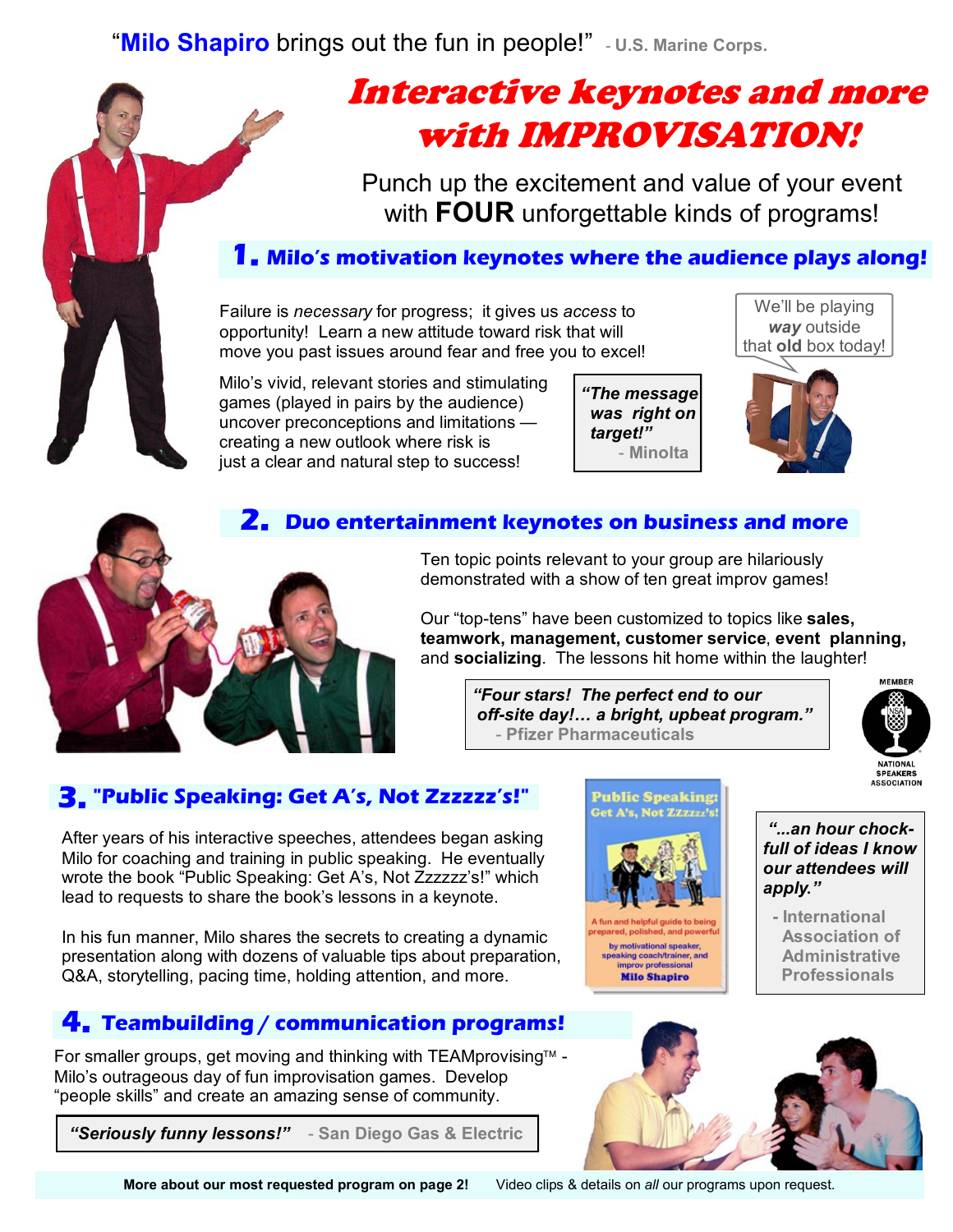"Milo Shapiro brings out the fun in people!" - U.S. Marine Corps.

# Interactive keynotes and more with IMPROVISATION!

Punch up the excitement and value of your event with **FOUR** unforgettable kinds of programs!

### **1. Milo's motivation keynotes where the audience plays along!**

Failure is *necessary* for progress; it gives us *access* to opportunity! Learn a new attitude toward risk that will move you past issues around fear and free you to excel!

Milo's vivid, relevant stories and stimulating games (played in pairs by the audience) uncover preconceptions and limitations creating a new outlook where risk is just a clear and natural step to success!

*"The message was right on target!"* - **Minolta**

We'll be playing *way* outside that **old** box today!



#### **2. Duo entertainment keynotes on business and more**



Ten topic points relevant to your group are hilariously demonstrated with a show of ten great improv games!

Our "top-tens" have been customized to topics like **sales, teamwork, management, customer service**, **event planning,**  and **socializing**. The lessons hit home within the laughter!

> *"Four stars! The perfect end to our off-site day!… a bright, upbeat program."* - **Pfizer Pharmaceuticals**



### **3. "Public Speaking: Get A's, Not Zzzzzz's!"**

After years of his interactive speeches, attendees began asking Milo for coaching and training in public speaking. He eventually wrote the book "Public Speaking: Get A's, Not Zzzzzz's!" which lead to requests to share the book's lessons in a keynote.

In his fun manner, Milo shares the secrets to creating a dynamic presentation along with dozens of valuable tips about preparation, Q&A, storytelling, pacing time, holding attention, and more.

## **4. Teambuilding / communication programs!**

For smaller groups, get moving and thinking with TEAMprovising™ -Milo's outrageous day of fun improvisation games. Develop "people skills" and create an amazing sense of community.

 *"Seriously funny lessons!"* - **San Diego Gas & Electric**



by motivational speaker, aking coach/trainer, and<br>improv professional **Milo Shapiro** 

*"...an hour chockfull of ideas I know our attendees will apply."* 

**- International Association of Administrative Professionals**